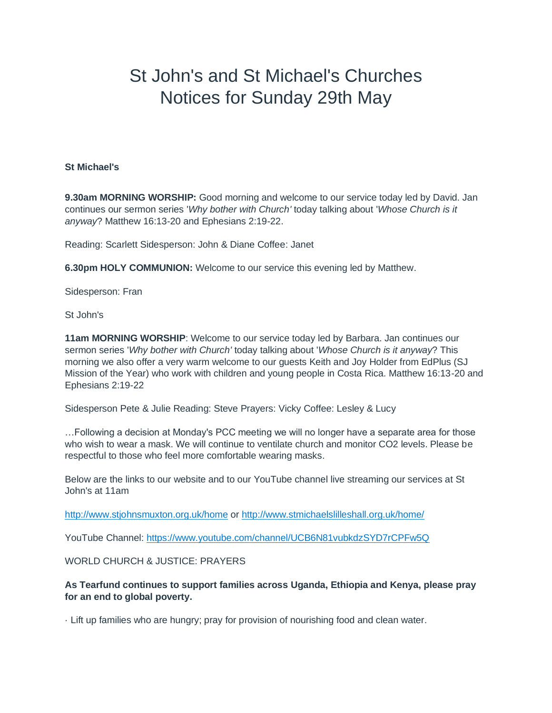## St John's and St Michael's Churches Notices for Sunday 29th May

## **St Michael's**

**9.30am MORNING WORSHIP:** Good morning and welcome to our service today led by David. Jan continues our sermon series '*Why bother with Church'* today talking about '*Whose Church is it anyway*? Matthew 16:13-20 and Ephesians 2:19-22.

Reading: Scarlett Sidesperson: John & Diane Coffee: Janet

**6.30pm HOLY COMMUNION:** Welcome to our service this evening led by Matthew.

Sidesperson: Fran

St John's

**11am MORNING WORSHIP**: Welcome to our service today led by Barbara. Jan continues our sermon series '*Why bother with Church'* today talking about '*Whose Church is it anyway*? This morning we also offer a very warm welcome to our guests Keith and Joy Holder from EdPlus (SJ Mission of the Year) who work with children and young people in Costa Rica. Matthew 16:13-20 and Ephesians 2:19-22

Sidesperson Pete & Julie Reading: Steve Prayers: Vicky Coffee: Lesley & Lucy

…Following a decision at Monday's PCC meeting we will no longer have a separate area for those who wish to wear a mask. We will continue to ventilate church and monitor CO2 levels. Please be respectful to those who feel more comfortable wearing masks.

Below are the links to our website and to our YouTube channel live streaming our services at St John's at 11am

<http://www.stjohnsmuxton.org.uk/home> or <http://www.stmichaelslilleshall.org.uk/home/>

YouTube Channel: <https://www.youtube.com/channel/UCB6N81vubkdzSYD7rCPFw5Q>

WORLD CHURCH & JUSTICE: PRAYERS

**As Tearfund continues to support families across Uganda, Ethiopia and Kenya, please pray for an end to global poverty.**

· Lift up families who are hungry; pray for provision of nourishing food and clean water.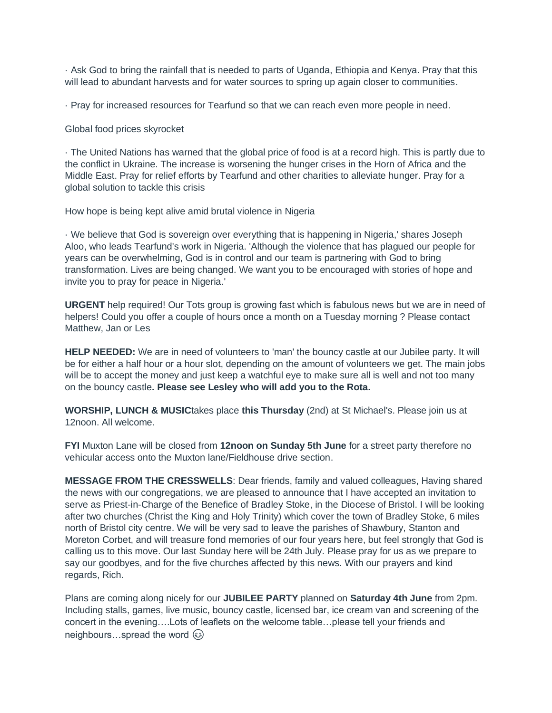· Ask God to bring the rainfall that is needed to parts of Uganda, Ethiopia and Kenya. Pray that this will lead to abundant harvests and for water sources to spring up again closer to communities.

· Pray for increased resources for Tearfund so that we can reach even more people in need.

Global food prices skyrocket

· The United Nations has warned that the global price of food is at a record high. This is partly due to the conflict in Ukraine. The increase is worsening the hunger crises in the Horn of Africa and the Middle East. Pray for relief efforts by Tearfund and other charities to alleviate hunger. Pray for a global solution to tackle this crisis

How hope is being kept alive amid brutal violence in Nigeria

· We believe that God is sovereign over everything that is happening in Nigeria,' shares Joseph Aloo, who leads Tearfund's work in Nigeria. 'Although the violence that has plagued our people for years can be overwhelming, God is in control and our team is partnering with God to bring transformation. Lives are being changed. We want you to be encouraged with stories of hope and invite you to pray for peace in Nigeria.'

**URGENT** help required! Our Tots group is growing fast which is fabulous news but we are in need of helpers! Could you offer a couple of hours once a month on a Tuesday morning ? Please contact Matthew, Jan or Les

**HELP NEEDED:** We are in need of volunteers to 'man' the bouncy castle at our Jubilee party. It will be for either a half hour or a hour slot, depending on the amount of volunteers we get. The main jobs will be to accept the money and just keep a watchful eye to make sure all is well and not too many on the bouncy castle**. Please see Lesley who will add you to the Rota.**

**WORSHIP, LUNCH & MUSIC**takes place **this Thursday** (2nd) at St Michael's. Please join us at 12noon. All welcome.

**FYI** Muxton Lane will be closed from **12noon on Sunday 5th June** for a street party therefore no vehicular access onto the Muxton lane/Fieldhouse drive section.

**MESSAGE FROM THE CRESSWELLS**: Dear friends, family and valued colleagues, Having shared the news with our congregations, we are pleased to announce that I have accepted an invitation to serve as Priest-in-Charge of the Benefice of Bradley Stoke, in the Diocese of Bristol. I will be looking after two churches (Christ the King and Holy Trinity) which cover the town of Bradley Stoke, 6 miles north of Bristol city centre. We will be very sad to leave the parishes of Shawbury, Stanton and Moreton Corbet, and will treasure fond memories of our four years here, but feel strongly that God is calling us to this move. Our last Sunday here will be 24th July. Please pray for us as we prepare to say our goodbyes, and for the five churches affected by this news. With our prayers and kind regards, Rich.

Plans are coming along nicely for our **JUBILEE PARTY** planned on **Saturday 4th June** from 2pm. Including stalls, games, live music, bouncy castle, licensed bar, ice cream van and screening of the concert in the evening….Lots of leaflets on the welcome table…please tell your friends and neighbours...spread the word  $\circledcirc$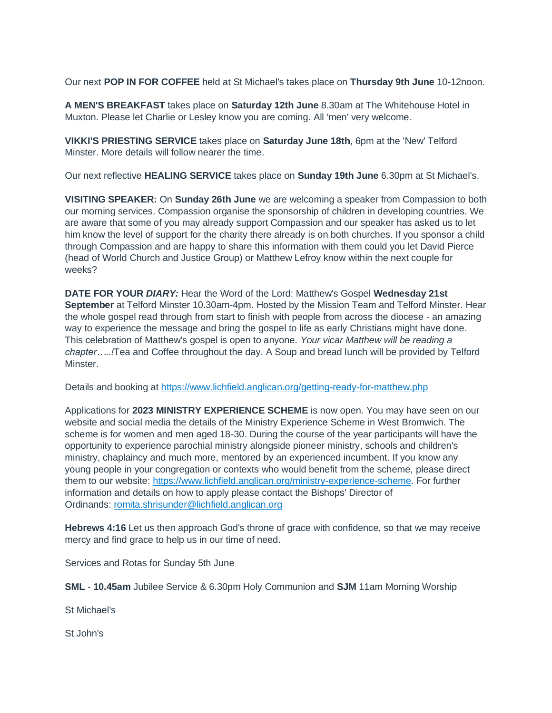Our next **POP IN FOR COFFEE** held at St Michael's takes place on **Thursday 9th June** 10-12noon.

**A MEN'S BREAKFAST** takes place on **Saturday 12th June** 8.30am at The Whitehouse Hotel in Muxton. Please let Charlie or Lesley know you are coming. All 'men' very welcome.

**VIKKI'S PRIESTING SERVICE** takes place on **Saturday June 18th**, 6pm at the 'New' Telford Minster. More details will follow nearer the time.

Our next reflective **HEALING SERVICE** takes place on **Sunday 19th June** 6.30pm at St Michael's.

**VISITING SPEAKER:** On **Sunday 26th June** we are welcoming a speaker from Compassion to both our morning services. Compassion organise the sponsorship of children in developing countries. We are aware that some of you may already support Compassion and our speaker has asked us to let him know the level of support for the charity there already is on both churches. If you sponsor a child through Compassion and are happy to share this information with them could you let David Pierce (head of World Church and Justice Group) or Matthew Lefroy know within the next couple for weeks?

**DATE FOR YOUR** *DIARY:* Hear the Word of the Lord: Matthew's Gospel **Wednesday 21st September** at Telford Minster 10.30am-4pm. Hosted by the Mission Team and Telford Minster. Hear the whole gospel read through from start to finish with people from across the diocese - an amazing way to experience the message and bring the gospel to life as early Christians might have done. This celebration of Matthew's gospel is open to anyone. *Your vicar Matthew will be reading a chapter…..!*Tea and Coffee throughout the day. A Soup and bread lunch will be provided by Telford Minster.

Details and booking at <https://www.lichfield.anglican.org/getting-ready-for-matthew.php>

Applications for **2023 MINISTRY EXPERIENCE SCHEME** is now open. You may have seen on our website and social media the details of the Ministry Experience Scheme in West Bromwich. The scheme is for women and men aged 18-30. During the course of the year participants will have the opportunity to experience parochial ministry alongside pioneer ministry, schools and children's ministry, chaplaincy and much more, mentored by an experienced incumbent. If you know any young people in your congregation or contexts who would benefit from the scheme, please direct them to our website: [https://www.lichfield.anglican.org/ministry-experience-scheme.](https://emea01.safelinks.protection.outlook.com/?url=https%3A%2F%2Fwww.lichfield.anglican.org%2Fministry-experience-scheme&data=04%7C01%7C%7Cc87989d5039a4b47cd0b08d8de52f374%7C84df9e7fe9f640afb435aaaaaaaaaaaa%7C1%7C0%7C637503795145738500%7CUnknown%7CTWFpbGZsb3d8eyJWIjoiMC4wLjAwMDAiLCJQIjoiV2luMzIiLCJBTiI6Ik1haWwiLCJXVCI6Mn0%3D%7C1000&sdata=HQezO%2Bt2d6N%2FS%2BYbkrIxrTxGsWFatW69uSpfFnUNT4U%3D&reserved=0) For further information and details on how to apply please contact the Bishops' Director of Ordinands: [romita.shrisunder@lichfield.anglican.org](mailto:romita.shrisunder@lichfield.anglican.org)

**Hebrews 4:16** Let us then approach God's throne of grace with confidence, so that we may receive mercy and find grace to help us in our time of need.

Services and Rotas for Sunday 5th June

**SML** - **10.45am** Jubilee Service & 6.30pm Holy Communion and **SJM** 11am Morning Worship

St Michael's

St John's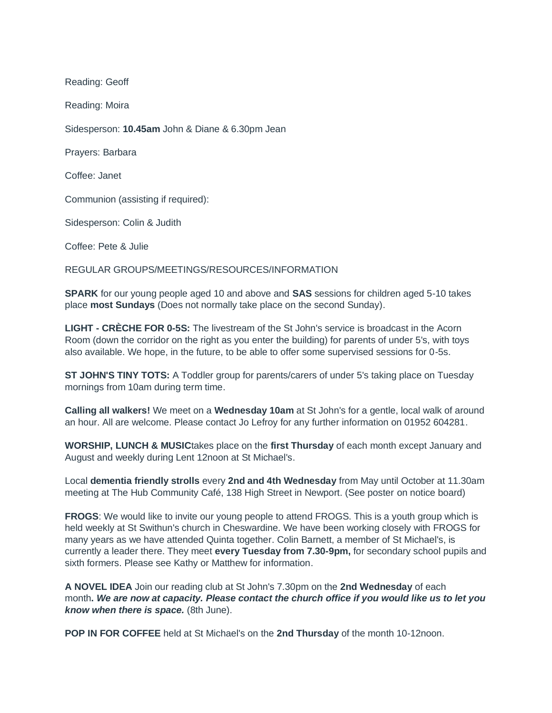Reading: Geoff

Reading: Moira

Sidesperson: **10.45am** John & Diane & 6.30pm Jean

Prayers: Barbara

Coffee: Janet

Communion (assisting if required):

Sidesperson: Colin & Judith

Coffee: Pete & Julie

REGULAR GROUPS/MEETINGS/RESOURCES/INFORMATION

**SPARK** for our young people aged 10 and above and **SAS** sessions for children aged 5-10 takes place **most Sundays** (Does not normally take place on the second Sunday).

**LIGHT - CRÈCHE FOR 0-5S:** The livestream of the St John's service is broadcast in the Acorn Room (down the corridor on the right as you enter the building) for parents of under 5's, with toys also available. We hope, in the future, to be able to offer some supervised sessions for 0-5s.

**ST JOHN'S TINY TOTS:** A Toddler group for parents/carers of under 5's taking place on Tuesday mornings from 10am during term time.

**Calling all walkers!** We meet on a **Wednesday 10am** at St John's for a gentle, local walk of around an hour. All are welcome. Please contact Jo Lefroy for any further information on 01952 604281.

**WORSHIP, LUNCH & MUSIC**takes place on the **first Thursday** of each month except January and August and weekly during Lent 12noon at St Michael's.

Local **dementia friendly strolls** every **2nd and 4th Wednesday** from May until October at 11.30am meeting at The Hub Community Café, 138 High Street in Newport. (See poster on notice board)

**FROGS**: We would like to invite our young people to attend FROGS. This is a youth group which is held weekly at St Swithun's church in Cheswardine. We have been working closely with FROGS for many years as we have attended Quinta together. Colin Barnett, a member of St Michael's, is currently a leader there. They meet **every Tuesday from 7.30-9pm,** for secondary school pupils and sixth formers. Please see Kathy or Matthew for information.

**A NOVEL IDEA** Join our reading club at St John's 7.30pm on the **2nd Wednesday** of each month**.** *We are now at capacity. Please contact the church office if you would like us to let you know when there is space.* (8th June).

**POP IN FOR COFFEE** held at St Michael's on the **2nd Thursday** of the month 10-12noon.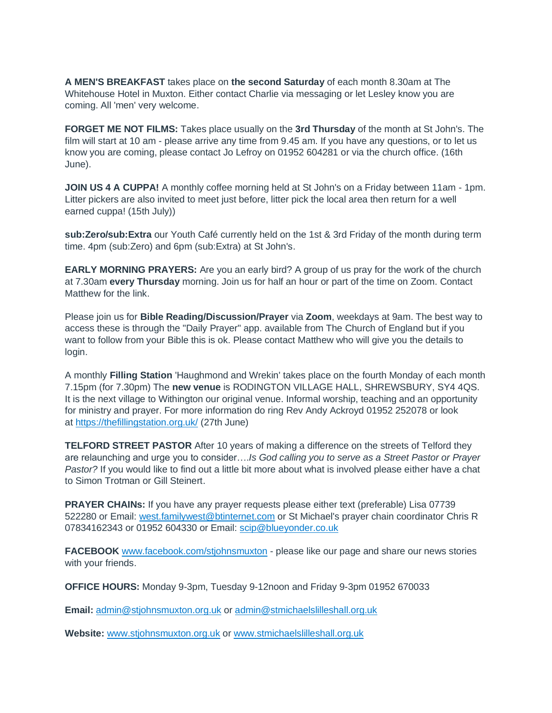**A MEN'S BREAKFAST** takes place on **the second Saturday** of each month 8.30am at The Whitehouse Hotel in Muxton. Either contact Charlie via messaging or let Lesley know you are coming. All 'men' very welcome.

**FORGET ME NOT FILMS:** Takes place usually on the **3rd Thursday** of the month at St John's. The film will start at 10 am - please arrive any time from 9.45 am. If you have any questions, or to let us know you are coming, please contact Jo Lefroy on 01952 604281 or via the church office. (16th June).

**JOIN US 4 A CUPPA!** A monthly coffee morning held at St John's on a Friday between 11am - 1pm. Litter pickers are also invited to meet just before, litter pick the local area then return for a well earned cuppa! (15th July))

**sub:Zero/sub:Extra** our Youth Café currently held on the 1st & 3rd Friday of the month during term time. 4pm (sub:Zero) and 6pm (sub:Extra) at St John's.

**EARLY MORNING PRAYERS:** Are you an early bird? A group of us pray for the work of the church at 7.30am **every Thursday** morning. Join us for half an hour or part of the time on Zoom. Contact Matthew for the link.

Please join us for **Bible Reading/Discussion/Prayer** via **Zoom**, weekdays at 9am. The best way to access these is through the "Daily Prayer" app. available from The Church of England but if you want to follow from your Bible this is ok. Please contact Matthew who will give you the details to login.

A monthly **Filling Station** 'Haughmond and Wrekin' takes place on the fourth Monday of each month 7.15pm (for 7.30pm) The **new venue** is RODINGTON VILLAGE HALL, SHREWSBURY, SY4 4QS. It is the next village to Withington our original venue. Informal worship, teaching and an opportunity for ministry and prayer. For more information do ring Rev Andy Ackroyd 01952 252078 or look at <https://thefillingstation.org.uk/> (27th June)

**TELFORD STREET PASTOR** After 10 years of making a difference on the streets of Telford they are relaunching and urge you to consider….*Is God calling you to serve as a Street Pastor or Prayer Pastor?* If you would like to find out a little bit more about what is involved please either have a chat to Simon Trotman or Gill Steinert.

**PRAYER CHAINs:** If you have any prayer requests please either text (preferable) Lisa 07739 522280 or Email: [west.familywest@btinternet.com](mailto:west.familywest@btinternet.com) or St Michael's prayer chain coordinator Chris R 07834162343 or 01952 604330 or Email: [scip@blueyonder.co.uk](mailto:scip@blueyonder.co.uk)

**FACEBOOK** [www.facebook.com/stjohnsmuxton](http://www.facebook.com/stjohnsmuxton) - please like our page and share our news stories with your friends.

**OFFICE HOURS:** Monday 9-3pm, Tuesday 9-12noon and Friday 9-3pm 01952 670033

**Email:** [admin@stjohnsmuxton.org.uk](mailto:admin@stjohnsmuxton.org.uk) or [admin@stmichaelslilleshall.org.uk](mailto:admin@stmichaelslilleshall.org.uk)

**Website:** [www.stjohnsmuxton.org.uk](http://www.stjohnsmuxton.org.uk/) or [www.stmichaelslilleshall.org.uk](http://www.stmichaelslilleshall.org.uk/)